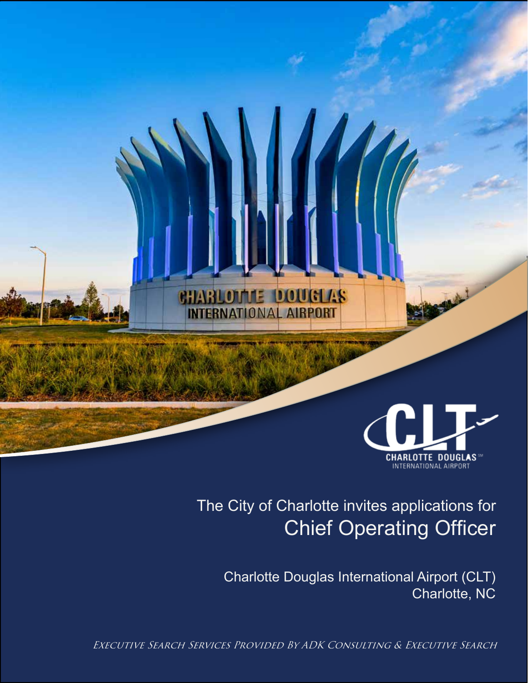

## Chief Operating Officer The City of Charlotte invites applications for

Charlotte Douglas International Airport (CLT) Charlotte, NC

Executive Search Services Provided By ADK Consulting & Executive Search

**CHARLOTTE DOUGLAS INTERNATIONAL AIRPORT**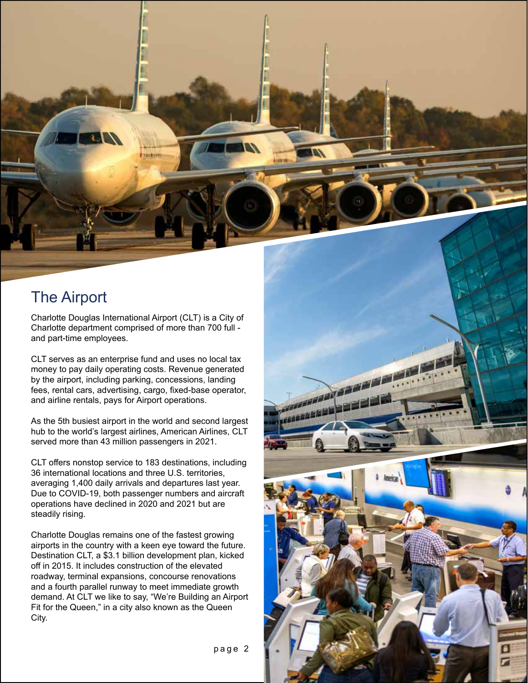

Charlotte Douglas International Airport (CLT) is a City of Charlotte department comprised of more than 700 full and part-time employees.

CLT serves as an enterprise fund and uses no local tax money to pay daily operating costs. Revenue generated by the airport, including parking, concessions, landing fees, rental cars, advertising, cargo, fixed-base operator, and airline rentals, pays for Airport operations.

As the 5th busiest airport in the world and second largest hub to the world's largest airlines, American Airlines, CLT served more than 43 million passengers in 2021.

CLT offers nonstop service to 183 destinations, including 36 international locations and three U.S. territories, averaging 1,400 daily arrivals and departures last year. Due to COVID-19, both passenger numbers and aircraft operations have declined in 2020 and 2021 but are steadily rising.

Charlotte Douglas remains one of the fastest growing airports in the country with a keen eye toward the future. Destination CLT, a \$3.1 billion development plan, kicked off in 2015. It includes construction of the elevated roadway, terminal expansions, concourse renovations and a fourth parallel runway to meet immediate growth demand. At CLT we like to say, "We're Building an Airport Fit for the Queen," in a city also known as the Queen City.



page 2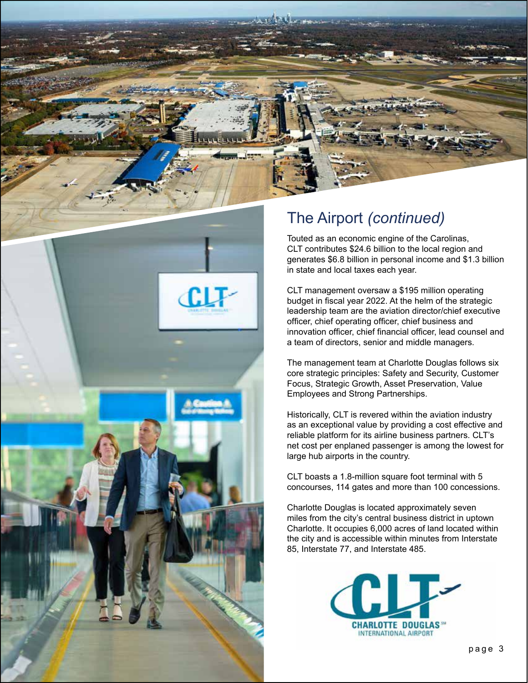

## The Airport *(continued)*

Touted as an economic engine of the Carolinas, CLT contributes \$24.6 billion to the local region and generates \$6.8 billion in personal income and \$1.3 billion in state and local taxes each year.

CLT management oversaw a \$195 million operating budget in fiscal year 2022. At the helm of the strategic leadership team are the aviation director/chief executive officer, chief operating officer, chief business and innovation officer, chief financial officer, lead counsel and a team of directors, senior and middle managers.

The management team at Charlotte Douglas follows six core strategic principles: Safety and Security, Customer Focus, Strategic Growth, Asset Preservation, Value Employees and Strong Partnerships.

Historically, CLT is revered within the aviation industry as an exceptional value by providing a cost effective and reliable platform for its airline business partners. CLT's net cost per enplaned passenger is among the lowest for large hub airports in the country.

CLT boasts a 1.8-million square foot terminal with 5 concourses, 114 gates and more than 100 concessions.

Charlotte Douglas is located approximately seven miles from the city's central business district in uptown Charlotte. It occupies 6,000 acres of land located within the city and is accessible within minutes from Interstate 85, Interstate 77, and Interstate 485.

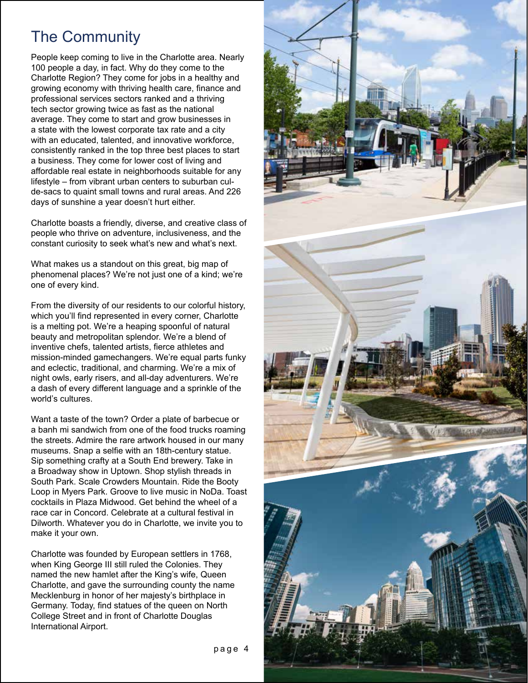## The Community

People keep coming to live in the Charlotte area. Nearly 100 people a day, in fact. Why do they come to the Charlotte Region? They come for jobs in a healthy and growing economy with thriving health care, finance and professional services sectors ranked and a thriving tech sector growing twice as fast as the national average. They come to start and grow businesses in a state with the lowest corporate tax rate and a city with an educated, talented, and innovative workforce, consistently ranked in the top three best places to start a business. They come for lower cost of living and affordable real estate in neighborhoods suitable for any lifestyle – from vibrant urban centers to suburban culde-sacs to quaint small towns and rural areas. And 226 days of sunshine a year doesn't hurt either.

Charlotte boasts a friendly, diverse, and creative class of people who thrive on adventure, inclusiveness, and the constant curiosity to seek what's new and what's next.

What makes us a standout on this great, big map of phenomenal places? We're not just one of a kind; we're one of every kind.

From the diversity of our residents to our colorful history, which you'll find represented in every corner, Charlotte is a melting pot. We're a heaping spoonful of natural beauty and metropolitan splendor. We're a blend of inventive chefs, talented artists, fierce athletes and mission-minded gamechangers. We're equal parts funky and eclectic, traditional, and charming. We're a mix of night owls, early risers, and all-day adventurers. We're a dash of every different language and a sprinkle of the world's cultures.

Want a taste of the town? Order a plate of barbecue or a banh mi sandwich from one of the food trucks roaming the streets. Admire the rare artwork housed in our many museums. Snap a selfie with an 18th-century statue. Sip something crafty at a South End brewery. Take in a Broadway show in Uptown. Shop stylish threads in South Park. Scale Crowders Mountain. Ride the Booty Loop in Myers Park. Groove to live music in NoDa. Toast cocktails in Plaza Midwood. Get behind the wheel of a race car in Concord. Celebrate at a cultural festival in Dilworth. Whatever you do in Charlotte, we invite you to make it your own.

Charlotte was founded by European settlers in 1768, when King George III still ruled the Colonies. They named the new hamlet after the King's wife, Queen Charlotte, and gave the surrounding county the name Mecklenburg in honor of her majesty's birthplace in Germany. Today, find statues of the queen on North College Street and in front of Charlotte Douglas International Airport.

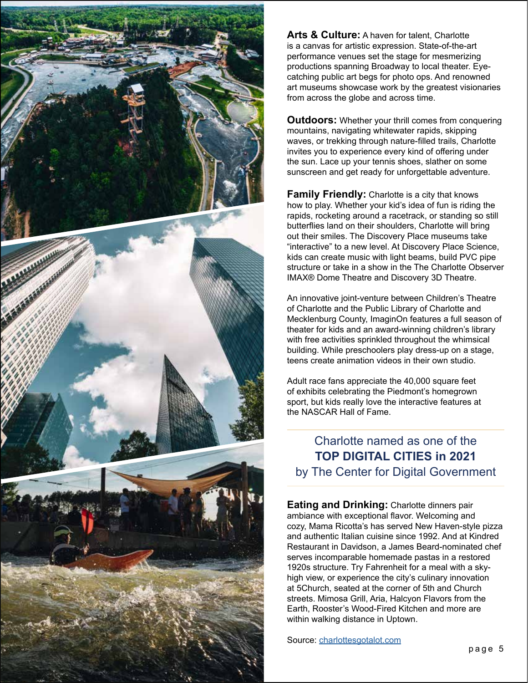

**Arts & Culture:** A haven for talent, Charlotte is a canvas for artistic expression. State-of-the-art performance venues set the stage for mesmerizing productions spanning Broadway to local theater. Eyecatching public art begs for photo ops. And renowned art museums showcase work by the greatest visionaries from across the globe and across time.

**Outdoors:** Whether your thrill comes from conquering mountains, navigating whitewater rapids, skipping waves, or trekking through nature-filled trails, Charlotte invites you to experience every kind of offering under the sun. Lace up your tennis shoes, slather on some sunscreen and get ready for unforgettable adventure.

**Family Friendly:** Charlotte is a city that knows how to play. Whether your kid's idea of fun is riding the rapids, rocketing around a racetrack, or standing so still butterflies land on their shoulders, Charlotte will bring out their smiles. The Discovery Place museums take "interactive" to a new level. At Discovery Place Science, kids can create music with light beams, build PVC pipe structure or take in a show in the The Charlotte Observer IMAX® Dome Theatre and Discovery 3D Theatre.

An innovative joint-venture between Children's Theatre of Charlotte and the Public Library of Charlotte and Mecklenburg County, ImaginOn features a full season of theater for kids and an award-winning children's library with free activities sprinkled throughout the whimsical building. While preschoolers play dress-up on a stage, teens create animation videos in their own studio.

Adult race fans appreciate the 40,000 square feet of exhibits celebrating the Piedmont's homegrown sport, but kids really love the interactive features at the NASCAR Hall of Fame.

Charlotte named as one of the **TOP DIGITAL CITIES in 2021** by The Center for Digital Government

**Eating and Drinking:** Charlotte dinners pair ambiance with exceptional flavor. Welcoming and cozy, Mama Ricotta's has served New Haven-style pizza and authentic Italian cuisine since 1992. And at Kindred Restaurant in Davidson, a James Beard-nominated chef serves incomparable homemade pastas in a restored 1920s structure. Try Fahrenheit for a meal with a skyhigh view, or experience the city's culinary innovation at 5Church, seated at the corner of 5th and Church streets. Mimosa Grill, Aria, Halcyon Flavors from the Earth, Rooster's Wood-Fired Kitchen and more are within walking distance in Uptown.

Source: charlottesgotalot.com